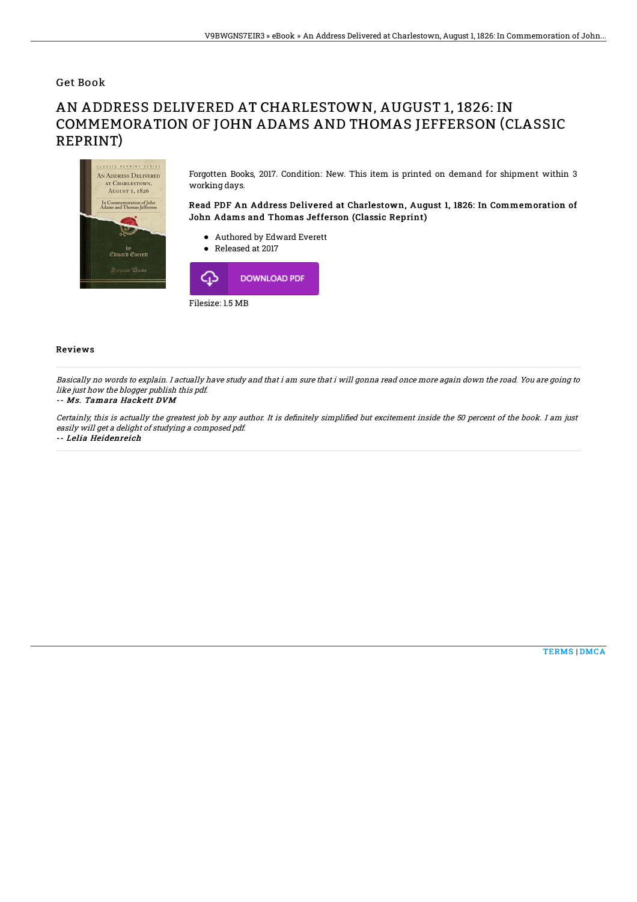Get Book

## AN ADDRESS DELIVERED AT CHARLESTOWN, AUGUST 1, 1826: IN COMMEMORATION OF JOHN ADAMS AND THOMAS JEFFERSON (CLASSIC REPRINT)



Filesize: 1.5 MB

## Reviews

Basically no words to explain. I actually have study and that i am sure that i will gonna read once more again down the road. You are going to like just how the blogger publish this pdf.

## -- Ms. Tamara Hackett DVM

Certainly, this is actually the greatest job by any author. It is definitely simplified but excitement inside the 50 percent of the book. I am just easily will get <sup>a</sup> delight of studying <sup>a</sup> composed pdf.

-- Lelia Heidenreich